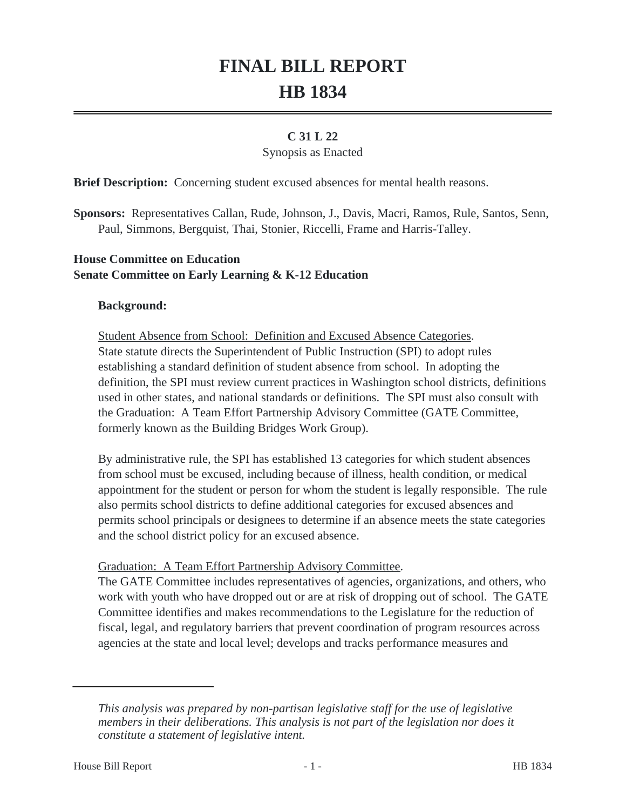# **FINAL BILL REPORT HB 1834**

# **C 31 L 22**

#### Synopsis as Enacted

**Brief Description:** Concerning student excused absences for mental health reasons.

**Sponsors:** Representatives Callan, Rude, Johnson, J., Davis, Macri, Ramos, Rule, Santos, Senn, Paul, Simmons, Bergquist, Thai, Stonier, Riccelli, Frame and Harris-Talley.

## **House Committee on Education Senate Committee on Early Learning & K-12 Education**

#### **Background:**

Student Absence from School: Definition and Excused Absence Categories. State statute directs the Superintendent of Public Instruction (SPI) to adopt rules establishing a standard definition of student absence from school. In adopting the definition, the SPI must review current practices in Washington school districts, definitions used in other states, and national standards or definitions. The SPI must also consult with the Graduation: A Team Effort Partnership Advisory Committee (GATE Committee, formerly known as the Building Bridges Work Group).

By administrative rule, the SPI has established 13 categories for which student absences from school must be excused, including because of illness, health condition, or medical appointment for the student or person for whom the student is legally responsible. The rule also permits school districts to define additional categories for excused absences and permits school principals or designees to determine if an absence meets the state categories and the school district policy for an excused absence.

#### Graduation: A Team Effort Partnership Advisory Committee.

The GATE Committee includes representatives of agencies, organizations, and others, who work with youth who have dropped out or are at risk of dropping out of school. The GATE Committee identifies and makes recommendations to the Legislature for the reduction of fiscal, legal, and regulatory barriers that prevent coordination of program resources across agencies at the state and local level; develops and tracks performance measures and

*This analysis was prepared by non-partisan legislative staff for the use of legislative members in their deliberations. This analysis is not part of the legislation nor does it constitute a statement of legislative intent.*